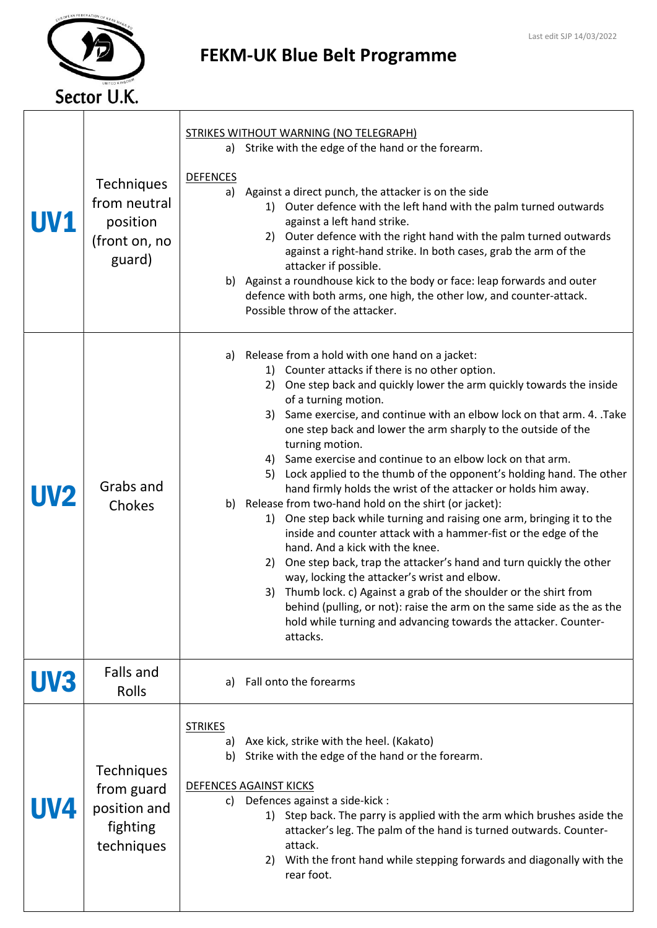## Sector U.K.

## FEKM-UK Blue Belt Programme

| <b>UV1</b> | <b>Techniques</b><br>from neutral<br>position<br>(front on, no<br>guard)  | STRIKES WITHOUT WARNING (NO TELEGRAPH)<br>a) Strike with the edge of the hand or the forearm.<br><b>DEFENCES</b><br>Against a direct punch, the attacker is on the side<br>a)<br>1) Outer defence with the left hand with the palm turned outwards<br>against a left hand strike.<br>Outer defence with the right hand with the palm turned outwards<br>2)<br>against a right-hand strike. In both cases, grab the arm of the<br>attacker if possible.<br>b) Against a roundhouse kick to the body or face: leap forwards and outer<br>defence with both arms, one high, the other low, and counter-attack.<br>Possible throw of the attacker.                                                                                                                                                                                                                                                                                                                                                                                                                                                                                                                                                 |
|------------|---------------------------------------------------------------------------|------------------------------------------------------------------------------------------------------------------------------------------------------------------------------------------------------------------------------------------------------------------------------------------------------------------------------------------------------------------------------------------------------------------------------------------------------------------------------------------------------------------------------------------------------------------------------------------------------------------------------------------------------------------------------------------------------------------------------------------------------------------------------------------------------------------------------------------------------------------------------------------------------------------------------------------------------------------------------------------------------------------------------------------------------------------------------------------------------------------------------------------------------------------------------------------------|
| <b>UV2</b> | Grabs and<br>Chokes                                                       | Release from a hold with one hand on a jacket:<br>a)<br>1) Counter attacks if there is no other option.<br>2) One step back and quickly lower the arm quickly towards the inside<br>of a turning motion.<br>3) Same exercise, and continue with an elbow lock on that arm. 4. .Take<br>one step back and lower the arm sharply to the outside of the<br>turning motion.<br>4) Same exercise and continue to an elbow lock on that arm.<br>Lock applied to the thumb of the opponent's holding hand. The other<br>5)<br>hand firmly holds the wrist of the attacker or holds him away.<br>Release from two-hand hold on the shirt (or jacket):<br>b)<br>1) One step back while turning and raising one arm, bringing it to the<br>inside and counter attack with a hammer-fist or the edge of the<br>hand. And a kick with the knee.<br>One step back, trap the attacker's hand and turn quickly the other<br>2)<br>way, locking the attacker's wrist and elbow.<br>3) Thumb lock. c) Against a grab of the shoulder or the shirt from<br>behind (pulling, or not): raise the arm on the same side as the as the<br>hold while turning and advancing towards the attacker. Counter-<br>attacks. |
| UV3        | Falls and<br>Rolls                                                        | Fall onto the forearms<br>a)                                                                                                                                                                                                                                                                                                                                                                                                                                                                                                                                                                                                                                                                                                                                                                                                                                                                                                                                                                                                                                                                                                                                                                   |
| <b>UV4</b> | <b>Techniques</b><br>from guard<br>position and<br>fighting<br>techniques | <b>STRIKES</b><br>Axe kick, strike with the heel. (Kakato)<br>a)<br>Strike with the edge of the hand or the forearm.<br>b)<br><b>DEFENCES AGAINST KICKS</b><br>c) Defences against a side-kick :<br>1) Step back. The parry is applied with the arm which brushes aside the<br>attacker's leg. The palm of the hand is turned outwards. Counter-<br>attack.<br>With the front hand while stepping forwards and diagonally with the<br>2)<br>rear foot.                                                                                                                                                                                                                                                                                                                                                                                                                                                                                                                                                                                                                                                                                                                                         |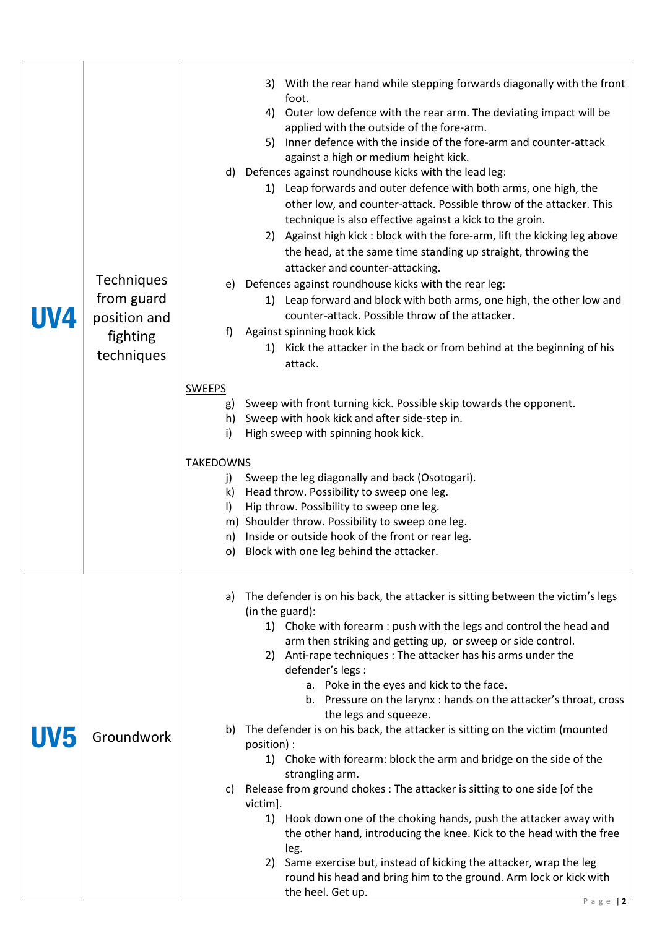| UV4 | <b>Techniques</b><br>from guard<br>position and<br>fighting<br>techniques | With the rear hand while stepping forwards diagonally with the front<br>3)<br>foot.<br>4) Outer low defence with the rear arm. The deviating impact will be<br>applied with the outside of the fore-arm.<br>Inner defence with the inside of the fore-arm and counter-attack<br>5)<br>against a high or medium height kick.<br>d) Defences against roundhouse kicks with the lead leg:<br>1) Leap forwards and outer defence with both arms, one high, the<br>other low, and counter-attack. Possible throw of the attacker. This<br>technique is also effective against a kick to the groin.<br>Against high kick: block with the fore-arm, lift the kicking leg above<br>2)<br>the head, at the same time standing up straight, throwing the<br>attacker and counter-attacking.<br>e) Defences against roundhouse kicks with the rear leg:<br>1) Leap forward and block with both arms, one high, the other low and<br>counter-attack. Possible throw of the attacker.<br>Against spinning hook kick<br>f)<br>1) Kick the attacker in the back or from behind at the beginning of his<br>attack.<br><b>SWEEPS</b><br>Sweep with front turning kick. Possible skip towards the opponent.<br>g)<br>h) Sweep with hook kick and after side-step in.<br>High sweep with spinning hook kick.<br>i)<br><b>TAKEDOWNS</b><br>Sweep the leg diagonally and back (Osotogari).<br>j)<br>Head throw. Possibility to sweep one leg.<br>k)<br>Hip throw. Possibility to sweep one leg.<br>$\vert$<br>m) Shoulder throw. Possibility to sweep one leg.<br>n) Inside or outside hook of the front or rear leg.<br>Block with one leg behind the attacker.<br>O) |
|-----|---------------------------------------------------------------------------|---------------------------------------------------------------------------------------------------------------------------------------------------------------------------------------------------------------------------------------------------------------------------------------------------------------------------------------------------------------------------------------------------------------------------------------------------------------------------------------------------------------------------------------------------------------------------------------------------------------------------------------------------------------------------------------------------------------------------------------------------------------------------------------------------------------------------------------------------------------------------------------------------------------------------------------------------------------------------------------------------------------------------------------------------------------------------------------------------------------------------------------------------------------------------------------------------------------------------------------------------------------------------------------------------------------------------------------------------------------------------------------------------------------------------------------------------------------------------------------------------------------------------------------------------------------------------------------------------------------------------------------------------|
|     | Groundwork                                                                | The defender is on his back, the attacker is sitting between the victim's legs<br>a)<br>(in the guard):<br>1) Choke with forearm : push with the legs and control the head and<br>arm then striking and getting up, or sweep or side control.<br>Anti-rape techniques : The attacker has his arms under the<br>2)<br>defender's legs :<br>a. Poke in the eyes and kick to the face.<br>b. Pressure on the larynx : hands on the attacker's throat, cross<br>the legs and squeeze.<br>The defender is on his back, the attacker is sitting on the victim (mounted<br>b)<br>position) :<br>1) Choke with forearm: block the arm and bridge on the side of the<br>strangling arm.<br>Release from ground chokes : The attacker is sitting to one side [of the<br>C)<br>victim].<br>1) Hook down one of the choking hands, push the attacker away with<br>the other hand, introducing the knee. Kick to the head with the free<br>leg.<br>Same exercise but, instead of kicking the attacker, wrap the leg<br>2)<br>round his head and bring him to the ground. Arm lock or kick with<br>the heel. Get up.<br>$P$ a g e $\top$ $\mathsf{Z}$                                                                                                                                                                                                                                                                                                                                                                                                                                                                                                           |